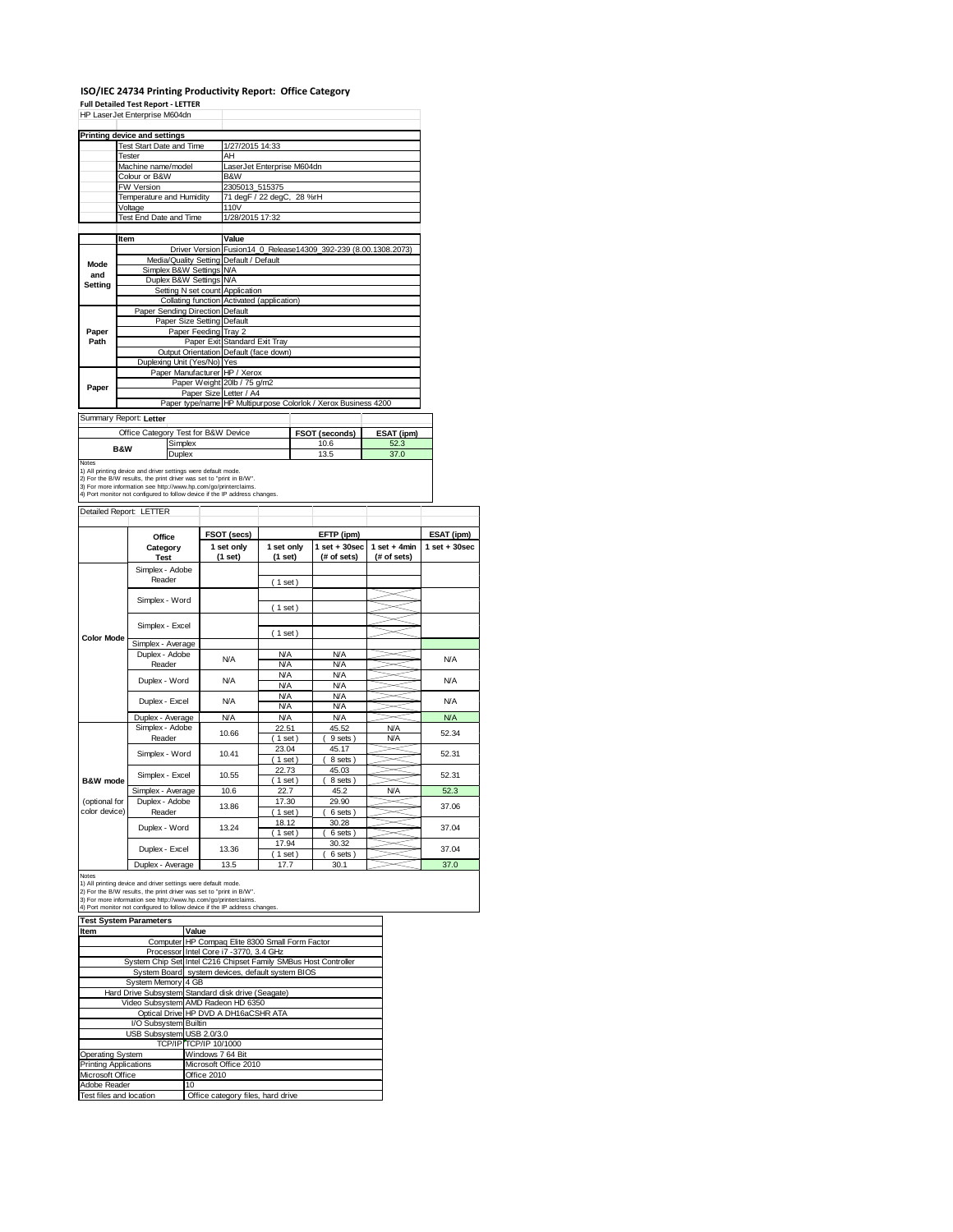## **ISO/IEC 24734 Printing Productivity Report: Office Category Full Detailed Test Report ‐ LETTER** HP LaserJet Enterprise M604dn

|                                     | HP LaserJet Enterprise M604dh                                                                                                                                                                           |                                     |                                                                            |                                                                 |            |  |  |
|-------------------------------------|---------------------------------------------------------------------------------------------------------------------------------------------------------------------------------------------------------|-------------------------------------|----------------------------------------------------------------------------|-----------------------------------------------------------------|------------|--|--|
|                                     | <b>Printing device and settings</b>                                                                                                                                                                     |                                     |                                                                            |                                                                 |            |  |  |
|                                     | <b>Test Start Date and Time</b>                                                                                                                                                                         |                                     | 1/27/2015 14:33                                                            |                                                                 |            |  |  |
|                                     | Tester                                                                                                                                                                                                  |                                     | AH                                                                         |                                                                 |            |  |  |
|                                     | Machine name/model                                                                                                                                                                                      |                                     | LaserJet Enterprise M604dn                                                 |                                                                 |            |  |  |
|                                     | Colour or B&W                                                                                                                                                                                           |                                     | B&W                                                                        |                                                                 |            |  |  |
|                                     | <b>FW Version</b>                                                                                                                                                                                       |                                     | 2305013 515375                                                             |                                                                 |            |  |  |
|                                     | Temperature and Humidity                                                                                                                                                                                |                                     | 71 degF / 22 degC, 28 %rH                                                  |                                                                 |            |  |  |
|                                     | Voltage                                                                                                                                                                                                 |                                     | 110V                                                                       |                                                                 |            |  |  |
|                                     | Test End Date and Time                                                                                                                                                                                  |                                     | 1/28/2015 17:32                                                            |                                                                 |            |  |  |
|                                     |                                                                                                                                                                                                         |                                     |                                                                            |                                                                 |            |  |  |
|                                     | Item                                                                                                                                                                                                    |                                     | Value                                                                      |                                                                 |            |  |  |
|                                     |                                                                                                                                                                                                         |                                     |                                                                            | Driver Version Fusion14_0_Release14309_392-239 (8.00.1308.2073) |            |  |  |
| Mode                                |                                                                                                                                                                                                         |                                     | Media/Quality Setting Default / Default                                    |                                                                 |            |  |  |
| and                                 |                                                                                                                                                                                                         | Simplex B&W Settings N/A            |                                                                            |                                                                 |            |  |  |
| Setting                             |                                                                                                                                                                                                         | Duplex B&W Settings N/A             |                                                                            |                                                                 |            |  |  |
|                                     |                                                                                                                                                                                                         | Setting N set count Application     |                                                                            |                                                                 |            |  |  |
|                                     |                                                                                                                                                                                                         |                                     | Collating function Activated (application)                                 |                                                                 |            |  |  |
|                                     |                                                                                                                                                                                                         | Paper Sending Direction Default     |                                                                            |                                                                 |            |  |  |
|                                     |                                                                                                                                                                                                         | Paper Size Setting Default          |                                                                            |                                                                 |            |  |  |
| Paper                               |                                                                                                                                                                                                         | Paper Feeding Tray 2                |                                                                            |                                                                 |            |  |  |
| Path                                |                                                                                                                                                                                                         |                                     | Paper Exit Standard Exit Tray                                              |                                                                 |            |  |  |
|                                     |                                                                                                                                                                                                         |                                     | Output Orientation Default (face down)                                     |                                                                 |            |  |  |
|                                     |                                                                                                                                                                                                         | Duplexing Unit (Yes/No) Yes         |                                                                            |                                                                 |            |  |  |
|                                     |                                                                                                                                                                                                         | Paper Manufacturer HP / Xerox       |                                                                            |                                                                 |            |  |  |
| Paper                               |                                                                                                                                                                                                         |                                     | Paper Weight 20lb / 75 g/m2                                                |                                                                 |            |  |  |
|                                     |                                                                                                                                                                                                         | Paper Size Letter / A4              |                                                                            |                                                                 |            |  |  |
|                                     |                                                                                                                                                                                                         |                                     |                                                                            | Paper type/name HP Multipurpose Colorlok / Xerox Business 4200  |            |  |  |
|                                     | Summary Report: Letter                                                                                                                                                                                  |                                     |                                                                            |                                                                 |            |  |  |
|                                     |                                                                                                                                                                                                         | Office Category Test for B&W Device |                                                                            | FSOT (seconds)                                                  | ESAT (ipm) |  |  |
| Simplex<br><b>B&amp;W</b><br>Duplex |                                                                                                                                                                                                         |                                     | 10.6                                                                       | 52.3                                                            |            |  |  |
|                                     |                                                                                                                                                                                                         |                                     | 13.5                                                                       | 37.0                                                            |            |  |  |
| <b>Notes</b>                        | 1) All printing device and driver settings were default mode.<br>2) For the B/W results, the print driver was set to "print in B/W".<br>3) For more information see http://www.hp.com/go/printerclaims. |                                     | 4) Port monitor not configured to follow device if the IP address changes. |                                                                 |            |  |  |
|                                     | Detailed Report: LETTER                                                                                                                                                                                 |                                     |                                                                            |                                                                 |            |  |  |

| botanca report. ELITER |                           |                       |                          |                                  |                               |                   |  |
|------------------------|---------------------------|-----------------------|--------------------------|----------------------------------|-------------------------------|-------------------|--|
|                        | Office                    | FSOT (secs)           |                          | EFTP (ipm)                       |                               | ESAT (ipm)        |  |
|                        | Category<br><b>Test</b>   | 1 set only<br>(1 set) | 1 set only<br>(1 set)    | $1$ set $+30$ sec<br>(# of sets) | $1$ set + 4min<br>(# of sets) | $1$ set $+30$ sec |  |
|                        | Simplex - Adobe           |                       |                          |                                  |                               |                   |  |
|                        | Reader                    |                       | $1$ set)                 |                                  |                               |                   |  |
|                        | Simplex - Word            |                       |                          |                                  |                               |                   |  |
|                        |                           |                       | $(1$ set)                |                                  |                               |                   |  |
|                        | Simplex - Excel           |                       |                          |                                  |                               |                   |  |
| <b>Color Mode</b>      |                           |                       | (1 set)                  |                                  |                               |                   |  |
|                        | Simplex - Average         |                       |                          |                                  |                               |                   |  |
|                        | Duplex - Adobe            | <b>N/A</b>            | <b>N/A</b>               | <b>N/A</b>                       |                               | <b>N/A</b>        |  |
|                        | Reader                    |                       | <b>N/A</b>               | <b>N/A</b>                       |                               |                   |  |
|                        | Duplex - Word             | N/A                   | <b>N/A</b><br><b>N/A</b> | <b>N/A</b><br><b>N/A</b>         |                               | <b>N/A</b>        |  |
|                        |                           |                       | <b>N/A</b>               | <b>N/A</b>                       |                               |                   |  |
|                        | Duplex - Excel            | <b>N/A</b>            | <b>N/A</b>               | <b>N/A</b>                       |                               | <b>N/A</b>        |  |
|                        | Duplex - Average          | <b>N/A</b>            | <b>N/A</b>               | <b>N/A</b>                       |                               | <b>N/A</b>        |  |
|                        | Simplex - Adobe<br>Reader | 10.66                 | 22.51                    | 45.52                            | <b>N/A</b>                    | 52.34             |  |
|                        |                           |                       | $1$ set)                 | 9 sets                           | <b>N/A</b>                    |                   |  |
|                        | Simplex - Word            | 10.41                 | 23.04                    | 45.17                            |                               | 52.31             |  |
|                        |                           |                       | $1$ set)                 | 8 sets)                          |                               |                   |  |
|                        | Simplex - Excel           | 10.55                 | 22.73                    | 45.03                            |                               | 52.31             |  |
| B&W mode               |                           |                       | $1$ set)                 | 8 sets)                          |                               |                   |  |
|                        | Simplex - Average         | 10.6                  | 22.7                     | 45.2                             | <b>N/A</b>                    | 52.3              |  |
| (optional for          | Duplex - Adobe            | 13.86                 | 17.30                    | 29.90                            |                               | 37.06             |  |
| color device)          | Reader                    |                       | $1$ set)                 | 6 sets)                          |                               |                   |  |
|                        | Duplex - Word             | 13.24                 | 18.12                    | 30.28                            |                               | 37.04             |  |
|                        |                           |                       | $1$ set)                 | 6 sets                           |                               |                   |  |
|                        | Duplex - Excel            | 13.36                 | 17.94<br>$1$ set)        | 30.32<br>6 sets                  |                               | 37.04             |  |
|                        | Duploy Average            | 12E                   | 177                      | 20.1                             |                               | 270               |  |

Duplex - Average | 13.5 | 17.7 | 30.1 27.0<br>
1) All printing device and driver settings were default mode.<br>
2) For the B/W results, the print driver was set to "print in B/W".<br>
3) For more information see http://www.hp.com

| <b>Test System Parameters</b> |                                                                 |
|-------------------------------|-----------------------------------------------------------------|
| Item                          | Value                                                           |
|                               | Computer HP Compaq Elite 8300 Small Form Factor                 |
|                               | Processor Intel Core i7 -3770, 3.4 GHz                          |
|                               | System Chip Set Intel C216 Chipset Family SMBus Host Controller |
|                               | System Board system devices, default system BIOS                |
| System Memory 4 GB            |                                                                 |
|                               | Hard Drive Subsystem Standard disk drive (Seagate)              |
|                               | Video Subsystem AMD Radeon HD 6350                              |
|                               | Optical Drive HP DVD A DH16aCSHR ATA                            |
| I/O Subsystem Builtin         |                                                                 |
| USB Subsystem USB 2.0/3.0     |                                                                 |
|                               | TCP/IP TCP/IP 10/1000                                           |
| <b>Operating System</b>       | Windows 7 64 Bit                                                |
| <b>Printing Applications</b>  | Microsoft Office 2010                                           |
| Microsoft Office              | Office 2010                                                     |
| Adobe Reader                  | 10                                                              |
| Test files and location       | Office category files, hard drive                               |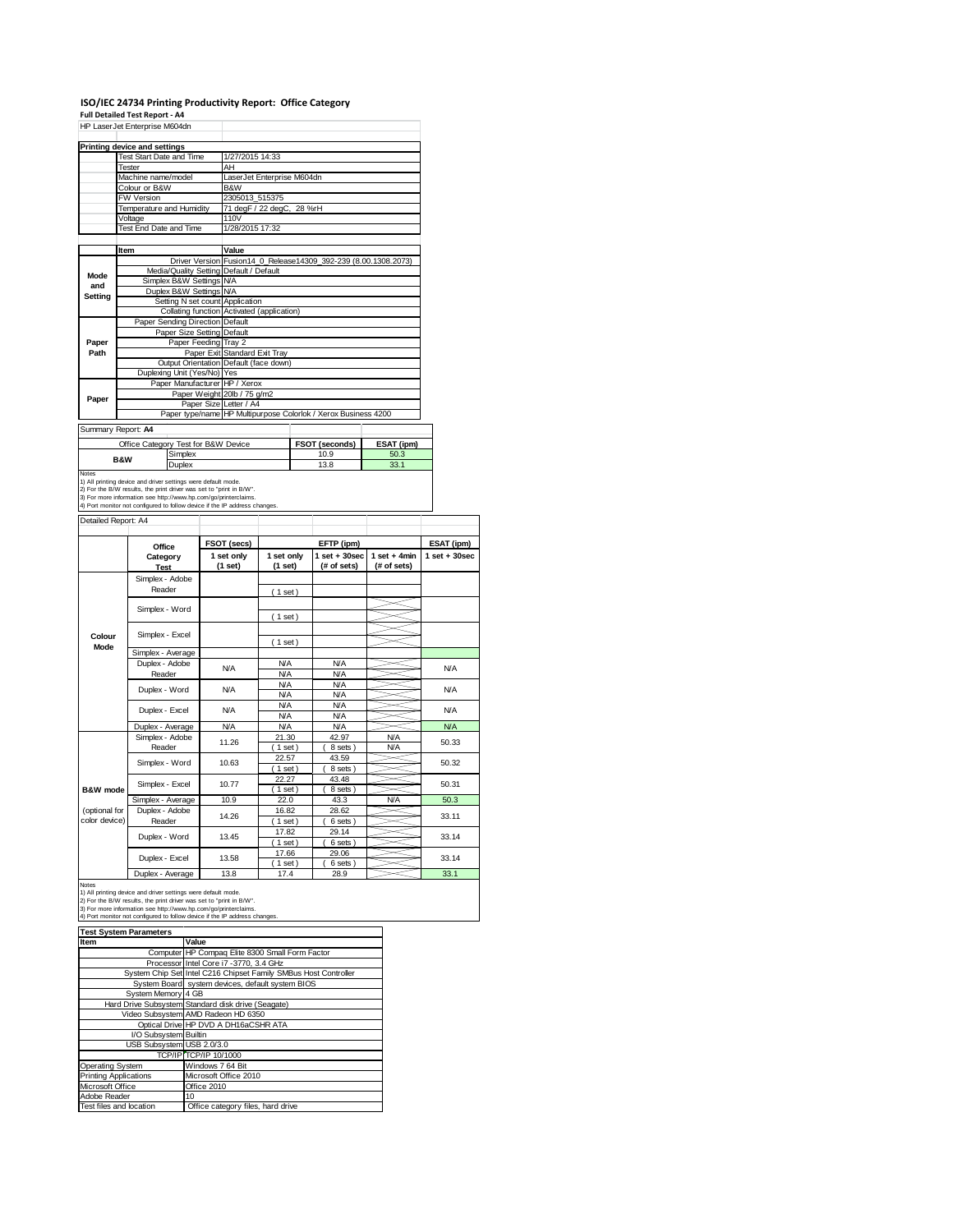## **ISO/IEC 24734 Printing Productivity Report: Office Category**

**Full Detailed Test Report ‐ A4** HP LaserJet Enterprise M604dn

|         | Printing device and settings            |                                                                 |  |  |  |  |
|---------|-----------------------------------------|-----------------------------------------------------------------|--|--|--|--|
|         | <b>Test Start Date and Time</b>         | 1/27/2015 14:33                                                 |  |  |  |  |
|         | Tester                                  | AH                                                              |  |  |  |  |
|         | Machine name/model                      | LaserJet Enterprise M604dn                                      |  |  |  |  |
|         | Colour or B&W                           | B&W                                                             |  |  |  |  |
|         | <b>FW Version</b>                       | 2305013 515375                                                  |  |  |  |  |
|         | Temperature and Humidity                | 71 degF / 22 degC, 28 %rH                                       |  |  |  |  |
|         | Voltage                                 | 110V                                                            |  |  |  |  |
|         | Test End Date and Time                  | 1/28/2015 17:32                                                 |  |  |  |  |
|         |                                         |                                                                 |  |  |  |  |
|         | Item                                    | Value                                                           |  |  |  |  |
|         |                                         | Driver Version Fusion14 0 Release14309 392-239 (8.00.1308.2073) |  |  |  |  |
| Mode    | Media/Quality Setting Default / Default |                                                                 |  |  |  |  |
| and     | Simplex B&W Settings N/A                |                                                                 |  |  |  |  |
| Setting | Duplex B&W Settings N/A                 |                                                                 |  |  |  |  |
|         | Setting N set count Application         |                                                                 |  |  |  |  |
|         |                                         | Collating function Activated (application)                      |  |  |  |  |
|         | Paper Sending Direction Default         |                                                                 |  |  |  |  |
|         | Paper Size Setting Default              |                                                                 |  |  |  |  |
| Paper   | Paper Feeding Tray 2                    |                                                                 |  |  |  |  |
| Path    |                                         | Paper Exit Standard Exit Tray                                   |  |  |  |  |
|         |                                         | Output Orientation Default (face down)                          |  |  |  |  |
|         | Duplexing Unit (Yes/No) Yes             |                                                                 |  |  |  |  |
|         | Paper Manufacturer HP / Xerox           |                                                                 |  |  |  |  |
| Paper   |                                         | Paper Weight 20lb / 75 g/m2                                     |  |  |  |  |
|         | Paper Size Letter / A4                  |                                                                 |  |  |  |  |
|         |                                         | Paper type/name HP Multipurpose Colorlok / Xerox Business 4200  |  |  |  |  |
|         | Summary Report: A4                      |                                                                 |  |  |  |  |
|         |                                         |                                                                 |  |  |  |  |

| Office Category Test for B&W Device |         | FSOT (seconds) | ESAT (ipm) |
|-------------------------------------|---------|----------------|------------|
| <b>B&amp;W</b>                      | Simplex | 10.9           | 50.3       |
|                                     | Duplex  | 13.8           | 33.1       |
| Notes                               |         |                |            |

Notes<br>1) All printing device and driver settings were default mode.<br>2) For the B/W results, the print driver was set to "print in B/W".<br>3) For more information see http://www.hp.com/go/printerclaims.<br>4) Port monitor not co

Detailed Report: A4

|                                | Office                    | FSOT (secs)           |                          | EFTP (ipm)                      |                               | ESAT (ipm)       |
|--------------------------------|---------------------------|-----------------------|--------------------------|---------------------------------|-------------------------------|------------------|
|                                | Category<br><b>Test</b>   | 1 set only<br>(1 set) | 1 set only<br>(1 set)    | $1 set + 30 sec$<br>(# of sets) | $1$ set + 4min<br>(# of sets) | $1 set + 30 sec$ |
|                                | Simplex - Adobe<br>Reader |                       | (1 set)                  |                                 |                               |                  |
|                                | Simplex - Word            |                       | (1 set)                  |                                 |                               |                  |
| Colour<br>Mode                 | Simplex - Excel           |                       | $1$ set)                 |                                 |                               |                  |
|                                | Simplex - Average         |                       |                          |                                 |                               |                  |
|                                | Duplex - Adobe<br>Reader  | N/A                   | <b>N/A</b><br><b>N/A</b> | <b>N/A</b><br><b>N/A</b>        |                               | <b>N/A</b>       |
|                                | Duplex - Word             | N/A                   | <b>N/A</b><br><b>N/A</b> | <b>N/A</b><br><b>N/A</b>        |                               | <b>N/A</b>       |
|                                | Duplex - Excel            | N/A                   | <b>N/A</b><br><b>N/A</b> | <b>N/A</b><br><b>N/A</b>        |                               | <b>N/A</b>       |
|                                | Duplex - Average          | <b>N/A</b>            | <b>N/A</b>               | <b>N/A</b>                      |                               | <b>N/A</b>       |
|                                | Simplex - Adobe<br>Reader | 11.26                 | 21.30<br>$1$ set)        | 42.97<br>8 sets)                | <b>N/A</b><br><b>N/A</b>      | 50.33            |
|                                | Simplex - Word            | 10.63                 | 22.57<br>$1$ set)        | 43.59<br>8 sets)                |                               | 50.32            |
| B&W mode                       | Simplex - Excel           | 10.77                 | 22.27<br>$1$ set)        | 43.48<br>8 sets)                |                               | 50.31            |
|                                | Simplex - Average         | 10.9                  | 22.0                     | 43.3                            | <b>N/A</b>                    | 50.3             |
| (optional for<br>color device) | Duplex - Adobe<br>Reader  | 14.26                 | 16.82<br>$1$ set)        | 28.62<br>6 sets)                |                               | 33.11            |
|                                | Duplex - Word             | 13.45                 | 17.82<br>$1$ set)        | 29.14<br>6 sets)                |                               | 33.14            |
|                                | Duplex - Excel            | 13.58                 | 17.66<br>$1$ set)        | 29.06<br>6 sets)                |                               | 33.14            |
|                                | Duplex - Average          | 13.8                  | 17.4                     | 28.9                            |                               | 33.1             |

Notes<br>1) All printing device and driver settings were default mode.<br>2) For the B/W results, the print driver was set to "print in B/W".<br>3) For more information see http://www.hp.com/go/printerclaims.<br>4) Port monitor not co

and the control of the control of the control of the control of the control of 

| <b>Test System Parameters</b> |                                                                 |
|-------------------------------|-----------------------------------------------------------------|
| Item                          | Value                                                           |
|                               | Computer HP Compaq Elite 8300 Small Form Factor                 |
|                               | Processor Intel Core i7 -3770, 3.4 GHz                          |
|                               | System Chip Set Intel C216 Chipset Family SMBus Host Controller |
|                               | System Board system devices, default system BIOS                |
| System Memory 4 GB            |                                                                 |
|                               | Hard Drive Subsystem Standard disk drive (Seagate)              |
|                               | Video Subsystem AMD Radeon HD 6350                              |
|                               | Optical Drive HP DVD A DH16aCSHR ATA                            |
| I/O Subsystem Builtin         |                                                                 |
| USB Subsystem USB 2.0/3.0     |                                                                 |
|                               | TCP/IP TCP/IP 10/1000                                           |
| Operating System              | Windows 7 64 Bit                                                |
| <b>Printing Applications</b>  | Microsoft Office 2010                                           |
| Microsoft Office              | Office 2010                                                     |
| Adobe Reader                  | 10                                                              |
| Test files and location       | Office category files, hard drive                               |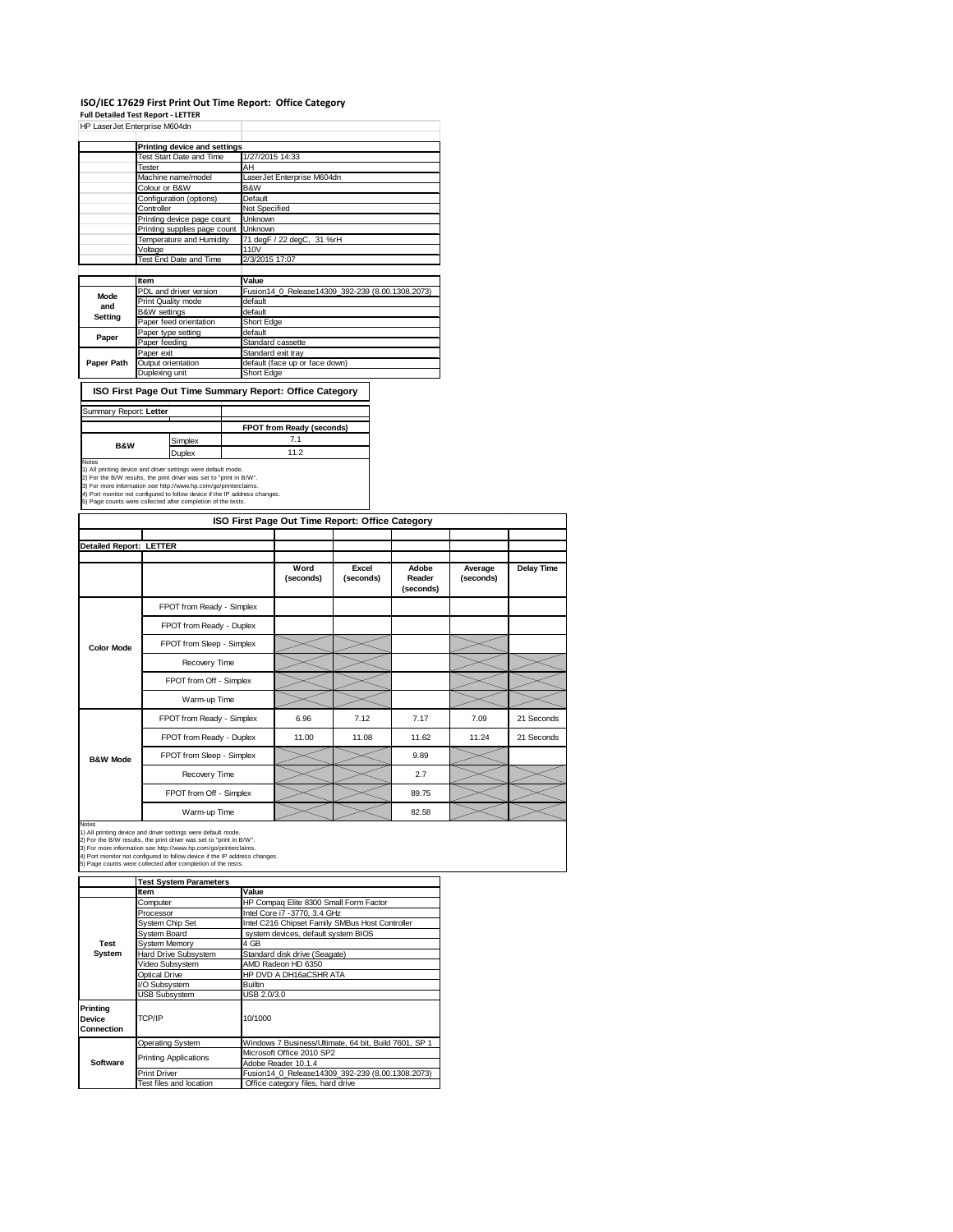## **ISO/IEC 17629 First Print Out Time Report: Office Category**

|                                | <b>Full Detailed Test Report - LETTER</b>                                                                                                                                                                                                                                                                                                             |                   |                                                  |                    |                              |                      |
|--------------------------------|-------------------------------------------------------------------------------------------------------------------------------------------------------------------------------------------------------------------------------------------------------------------------------------------------------------------------------------------------------|-------------------|--------------------------------------------------|--------------------|------------------------------|----------------------|
|                                | HP LaserJet Enterprise M604dn                                                                                                                                                                                                                                                                                                                         |                   |                                                  |                    |                              |                      |
|                                | <b>Printing device and settings</b>                                                                                                                                                                                                                                                                                                                   |                   |                                                  |                    |                              |                      |
|                                | Test Start Date and Time                                                                                                                                                                                                                                                                                                                              |                   | 1/27/2015 14:33                                  |                    |                              |                      |
|                                | <b>Tester</b>                                                                                                                                                                                                                                                                                                                                         | AH                |                                                  |                    |                              |                      |
|                                | Machine name/model<br>Colour or B&W                                                                                                                                                                                                                                                                                                                   | B&W               | LaserJet Enterprise M604dn                       |                    |                              |                      |
|                                | Configuration (options)                                                                                                                                                                                                                                                                                                                               | Default           |                                                  |                    |                              |                      |
|                                | Controller                                                                                                                                                                                                                                                                                                                                            |                   | Not Specified                                    |                    |                              |                      |
|                                | Printing device page count                                                                                                                                                                                                                                                                                                                            | Unknown           |                                                  |                    |                              |                      |
|                                | Printing supplies page count                                                                                                                                                                                                                                                                                                                          | Unknown           |                                                  |                    |                              |                      |
|                                | Temperature and Humidity                                                                                                                                                                                                                                                                                                                              |                   | 71 degF / 22 degC, 31 %rH                        |                    |                              |                      |
|                                | Voltage                                                                                                                                                                                                                                                                                                                                               | 110V              |                                                  |                    |                              |                      |
|                                | Test End Date and Time                                                                                                                                                                                                                                                                                                                                |                   | 2/3/2015 17:07                                   |                    |                              |                      |
|                                | Item                                                                                                                                                                                                                                                                                                                                                  | Value             |                                                  |                    |                              |                      |
|                                | PDL and driver version                                                                                                                                                                                                                                                                                                                                |                   | Fusion14 0 Release14309 392-239 (8.00.1308.2073) |                    |                              |                      |
| Mode<br>and                    | Print Quality mode                                                                                                                                                                                                                                                                                                                                    | default           |                                                  |                    |                              |                      |
| Setting                        | <b>B&amp;W</b> settings                                                                                                                                                                                                                                                                                                                               | default           |                                                  |                    |                              |                      |
|                                | Paper feed orientation                                                                                                                                                                                                                                                                                                                                | <b>Short Edge</b> |                                                  |                    |                              |                      |
| Paper                          | Paper type setting                                                                                                                                                                                                                                                                                                                                    | default           |                                                  |                    |                              |                      |
|                                | Paper feeding<br>Paper exit                                                                                                                                                                                                                                                                                                                           |                   | Standard cassette<br>Standard exit tray          |                    |                              |                      |
| Paper Path                     | Output orientation                                                                                                                                                                                                                                                                                                                                    |                   | default (face up or face down)                   |                    |                              |                      |
|                                | Duplexing unit                                                                                                                                                                                                                                                                                                                                        | Short Edge        |                                                  |                    |                              |                      |
| Summary Report: Letter         | ISO First Page Out Time Summary Report: Office Category                                                                                                                                                                                                                                                                                               |                   |                                                  |                    |                              |                      |
|                                |                                                                                                                                                                                                                                                                                                                                                       |                   | FPOT from Ready (seconds)                        |                    |                              |                      |
|                                | Simplex                                                                                                                                                                                                                                                                                                                                               |                   | 7.1                                              |                    |                              |                      |
| <b>B&amp;W</b>                 | Duplex                                                                                                                                                                                                                                                                                                                                                |                   | 11.2                                             |                    |                              |                      |
|                                | 1) All printing device and driver settings were default mode.<br>2) For the B/W results, the print driver was set to "print in B/W".<br>3) For more information see http://www.hp.com/go/printerclaims.<br>4) Port monitor not configured to follow device if the IP address changes.<br>5) Page counts were collected after completion of the tests. |                   |                                                  |                    |                              |                      |
|                                |                                                                                                                                                                                                                                                                                                                                                       |                   | ISO First Page Out Time Report: Office Category  |                    |                              |                      |
|                                |                                                                                                                                                                                                                                                                                                                                                       |                   |                                                  |                    |                              |                      |
| <b>Detailed Report: LETTER</b> |                                                                                                                                                                                                                                                                                                                                                       |                   |                                                  |                    |                              |                      |
|                                |                                                                                                                                                                                                                                                                                                                                                       |                   | Word<br>(seconds)                                | Excel<br>(seconds) | Adobe<br>Reader<br>(seconds) | Average<br>(seconds) |
|                                | FPOT from Ready - Simplex                                                                                                                                                                                                                                                                                                                             |                   |                                                  |                    |                              |                      |
|                                | FPOT from Ready - Duplex                                                                                                                                                                                                                                                                                                                              |                   |                                                  |                    |                              |                      |
| <b>Color Mode</b>              | FPOT from Sleep - Simplex                                                                                                                                                                                                                                                                                                                             |                   |                                                  |                    |                              |                      |
|                                | Recovery Time                                                                                                                                                                                                                                                                                                                                         |                   |                                                  |                    |                              |                      |
|                                | FPOT from Off - Simplex                                                                                                                                                                                                                                                                                                                               |                   |                                                  |                    |                              |                      |
|                                | Warm-up Time                                                                                                                                                                                                                                                                                                                                          |                   |                                                  |                    |                              |                      |
|                                | FPOT from Ready - Simplex                                                                                                                                                                                                                                                                                                                             |                   | 6.96                                             | 7.12               | 7.17                         | 7.09                 |
|                                | FPOT from Ready - Duplex                                                                                                                                                                                                                                                                                                                              |                   | 11.00                                            | 11.08              | 11.62                        | 11.24                |
| <b>B&amp;W Mode</b>            | FPOT from Sleep - Simplex                                                                                                                                                                                                                                                                                                                             |                   |                                                  |                    | 9.89                         |                      |

Recovery Time  $\sim$  2.7 FPOT from Off - Simplex 89.75 **Delay Time**

21 Seconds FPOT from Ready - Duplex 11.00 11.08 11.62 11.24 21 Seconds

Warm-up Time  $\sim$  82.58

Notes<br>1) All printing device and driver settings were default mode.<br>2) For the B/W results, the print driver was set to "print in B/W".<br>3) For more information see http://www.hp.com/go/printerclaims.<br>4) Port monitor not co

|                                  | <b>Test System Parameters</b> |                                                       |  |  |
|----------------------------------|-------------------------------|-------------------------------------------------------|--|--|
|                                  | Item                          | Value                                                 |  |  |
|                                  | Computer                      | HP Compaq Elite 8300 Small Form Factor                |  |  |
|                                  | Processor                     | Intel Core i7 -3770, 3.4 GHz                          |  |  |
|                                  | System Chip Set               | Intel C216 Chipset Family SMBus Host Controller       |  |  |
|                                  | System Board                  | system devices, default system BIOS                   |  |  |
| Test                             | <b>System Memory</b>          | 4 GB                                                  |  |  |
| System                           | Hard Drive Subsystem          | Standard disk drive (Seagate)                         |  |  |
|                                  | Video Subsystem               | AMD Radeon HD 6350                                    |  |  |
|                                  | Optical Drive                 | HP DVD A DH16aCSHR ATA                                |  |  |
|                                  | I/O Subsystem                 | <b>Builtin</b>                                        |  |  |
|                                  | <b>USB Subsystem</b>          | USB 2.0/3.0                                           |  |  |
| Printina<br>Device<br>Connection | TCP/IP                        | 10/1000                                               |  |  |
|                                  | Operating System              | Windows 7 Business/Ultimate, 64 bit, Build 7601, SP 1 |  |  |
|                                  |                               | Microsoft Office 2010 SP2                             |  |  |
| Software                         | <b>Printing Applications</b>  | Adobe Reader 10.1.4                                   |  |  |
|                                  | <b>Print Driver</b>           | Fusion14 0 Release14309 392-239 (8.00.1308.2073)      |  |  |
|                                  | Test files and location       | Office category files, hard drive                     |  |  |